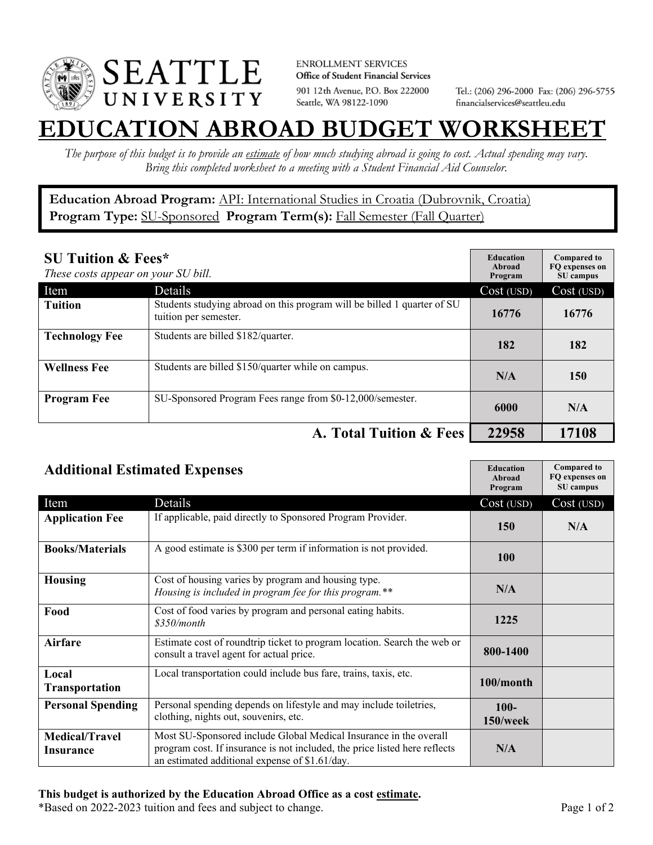

**ENROLLMENT SERVICES** Office of Student Financial Services 901 12th Avenue, P.O. Box 222000 Seattle, WA 98122-1090

Tel.: (206) 296-2000 Fax: (206) 296-5755 financialservices@seattleu.edu

## **EATION ABROAD BUDGET WORKSHEE**

*The purpose of this budget is to provide an estimate of how much studying abroad is going to cost. Actual spending may vary. Bring this completed worksheet to a meeting with a Student Financial Aid Counselor.* 

**Education Abroad Program:** API: International Studies in Croatia (Dubrovnik, Croatia) Program Type: **SU-Sponsored** Program Term(s): **Fall Semester (Fall Quarter)** 

| <b>SU Tuition &amp; Fees*</b><br>These costs appear on your SU bill. |                                                                                                  | <b>Education</b><br>Abroad<br>Program | <b>Compared to</b><br>FO expenses on<br>SU campus |
|----------------------------------------------------------------------|--------------------------------------------------------------------------------------------------|---------------------------------------|---------------------------------------------------|
| Item                                                                 | Details                                                                                          | Cost (USD)                            | Cost (USD)                                        |
| <b>Tuition</b>                                                       | Students studying abroad on this program will be billed 1 quarter of SU<br>tuition per semester. | 16776                                 | 16776                                             |
| <b>Technology Fee</b>                                                | Students are billed \$182/quarter.                                                               | 182                                   | 182                                               |
| <b>Wellness Fee</b>                                                  | Students are billed \$150/quarter while on campus.                                               | N/A                                   | 150                                               |
| <b>Program Fee</b>                                                   | SU-Sponsored Program Fees range from \$0-12,000/semester.                                        | 6000                                  | N/A                                               |
| A. Total Tuition & Fees                                              |                                                                                                  | 22958                                 | 17108                                             |

| <b>Additional Estimated Expenses</b> |                                                                                                                                                                                                   | <b>Education</b><br>Abroad<br>Program | <b>Compared to</b><br>FQ expenses on<br>SU campus |
|--------------------------------------|---------------------------------------------------------------------------------------------------------------------------------------------------------------------------------------------------|---------------------------------------|---------------------------------------------------|
| Item                                 | Details                                                                                                                                                                                           | Cost (USD)                            | Cost (USD)                                        |
| <b>Application Fee</b>               | If applicable, paid directly to Sponsored Program Provider.                                                                                                                                       | 150                                   | N/A                                               |
| <b>Books/Materials</b>               | A good estimate is \$300 per term if information is not provided.                                                                                                                                 | 100                                   |                                                   |
| <b>Housing</b>                       | Cost of housing varies by program and housing type.<br>Housing is included in program fee for this program.**                                                                                     | N/A                                   |                                                   |
| Food                                 | Cost of food varies by program and personal eating habits.<br>\$350/month                                                                                                                         | 1225                                  |                                                   |
| <b>Airfare</b>                       | Estimate cost of roundtrip ticket to program location. Search the web or<br>consult a travel agent for actual price.                                                                              | 800-1400                              |                                                   |
| Local<br><b>Transportation</b>       | Local transportation could include bus fare, trains, taxis, etc.                                                                                                                                  | 100/month                             |                                                   |
| <b>Personal Spending</b>             | Personal spending depends on lifestyle and may include toiletries,<br>clothing, nights out, souvenirs, etc.                                                                                       | $100 -$<br>$150$ /week                |                                                   |
| <b>Medical/Travel</b><br>Insurance   | Most SU-Sponsored include Global Medical Insurance in the overall<br>program cost. If insurance is not included, the price listed here reflects<br>an estimated additional expense of \$1.61/day. | N/A                                   |                                                   |

\*Based on 2022-2023 tuition and fees and subject to change. Page 1 of 2